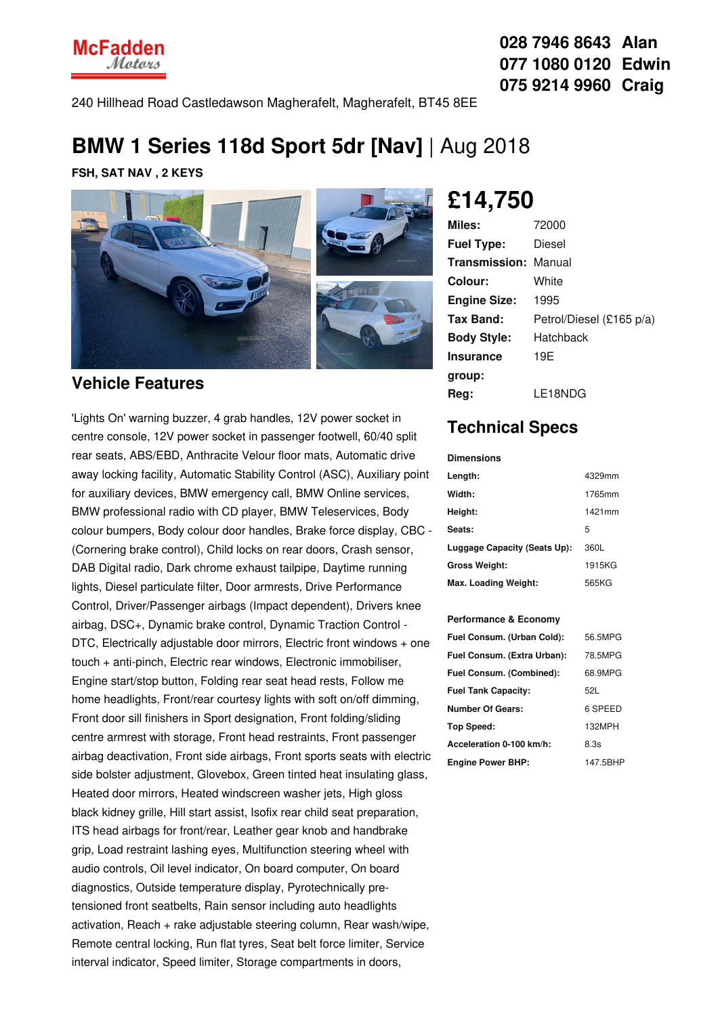

### **028 7946 8643 Alan 077 1080 0120 Edwin 075 9214 9960 Craig**

240 Hillhead Road Castledawson Magherafelt, Magherafelt, BT45 8EE

# **BMW 1 Series 118d Sport 5dr [Nav]** | Aug 2018

**FSH, SAT NAV , 2 KEYS**



#### **Vehicle Features**

'Lights On' warning buzzer, 4 grab handles, 12V power socket in centre console, 12V power socket in passenger footwell, 60/40 split rear seats, ABS/EBD, Anthracite Velour floor mats, Automatic drive away locking facility, Automatic Stability Control (ASC), Auxiliary point for auxiliary devices, BMW emergency call, BMW Online services, BMW professional radio with CD player, BMW Teleservices, Body colour bumpers, Body colour door handles, Brake force display, CBC - (Cornering brake control), Child locks on rear doors, Crash sensor, DAB Digital radio, Dark chrome exhaust tailpipe, Daytime running lights, Diesel particulate filter, Door armrests, Drive Performance Control, Driver/Passenger airbags (Impact dependent), Drivers knee airbag, DSC+, Dynamic brake control, Dynamic Traction Control - DTC, Electrically adjustable door mirrors, Electric front windows + one touch + anti-pinch, Electric rear windows, Electronic immobiliser, Engine start/stop button, Folding rear seat head rests, Follow me home headlights, Front/rear courtesy lights with soft on/off dimming, Front door sill finishers in Sport designation, Front folding/sliding centre armrest with storage, Front head restraints, Front passenger airbag deactivation, Front side airbags, Front sports seats with electric side bolster adjustment, Glovebox, Green tinted heat insulating glass, Heated door mirrors, Heated windscreen washer jets, High gloss black kidney grille, Hill start assist, Isofix rear child seat preparation, ITS head airbags for front/rear, Leather gear knob and handbrake grip, Load restraint lashing eyes, Multifunction steering wheel with audio controls, Oil level indicator, On board computer, On board diagnostics, Outside temperature display, Pyrotechnically pretensioned front seatbelts, Rain sensor including auto headlights activation, Reach + rake adjustable steering column, Rear wash/wipe, Remote central locking, Run flat tyres, Seat belt force limiter, Service interval indicator, Speed limiter, Storage compartments in doors,

# **£14,750**

| Miles:                      | 72000                    |
|-----------------------------|--------------------------|
| <b>Fuel Type:</b>           | Diesel                   |
| <b>Transmission: Manual</b> |                          |
| Colour:                     | White                    |
| <b>Engine Size:</b>         | 1995                     |
| Tax Band:                   | Petrol/Diesel (£165 p/a) |
| <b>Body Style:</b>          | Hatchback                |
| <b>Insurance</b>            | 19E                      |
| group:                      |                          |
| Reg:                        | LE18NDG                  |

## **Technical Specs**

**Dimensions**

| <b>DIIIEISOIS</b>            |        |
|------------------------------|--------|
| Length:                      | 4329mm |
| Width:                       | 1765mm |
| Height:                      | 1421mm |
| Seats:                       | 5      |
| Luggage Capacity (Seats Up): | 360L   |
| <b>Gross Weight:</b>         | 1915KG |
| Max. Loading Weight:         | 565KG  |

#### **Performance & Economy**

| Fuel Consum. (Urban Cold):  | 56.5MPG  |
|-----------------------------|----------|
| Fuel Consum. (Extra Urban): | 78.5MPG  |
| Fuel Consum. (Combined):    | 68.9MPG  |
| <b>Fuel Tank Capacity:</b>  | 52L      |
| <b>Number Of Gears:</b>     | 6 SPEED  |
| <b>Top Speed:</b>           | 132MPH   |
| Acceleration 0-100 km/h:    | 8.3s     |
| <b>Engine Power BHP:</b>    | 147.5BHP |